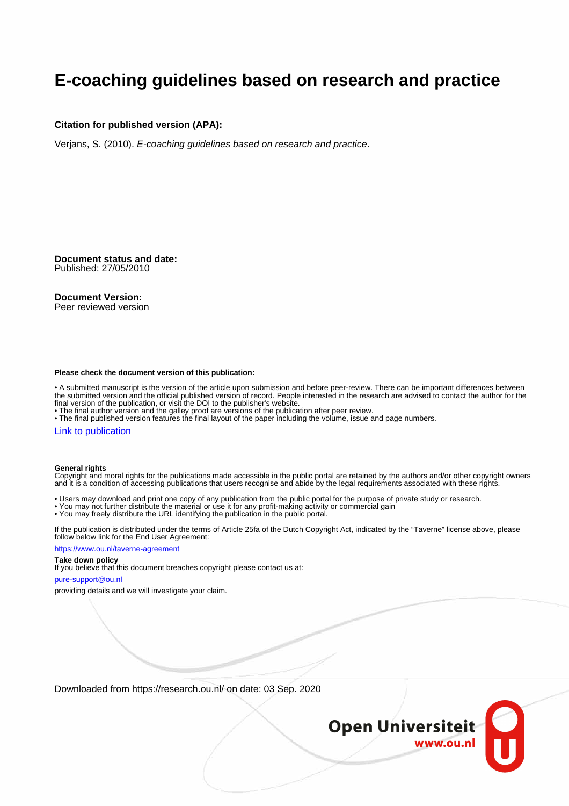#### **E-coaching guidelines based on research and practice**

#### **Citation for published version (APA):**

Verjans, S. (2010). E-coaching guidelines based on research and practice.

**Document status and date:** Published: 27/05/2010

#### **Document Version:**

Peer reviewed version

#### **Please check the document version of this publication:**

• A submitted manuscript is the version of the article upon submission and before peer-review. There can be important differences between the submitted version and the official published version of record. People interested in the research are advised to contact the author for the final version of the publication, or visit the DOI to the publisher's website.

• The final author version and the galley proof are versions of the publication after peer review.

• The final published version features the final layout of the paper including the volume, issue and page numbers.

#### [Link to publication](https://research.ou.nl/en/publications/e9d5b38a-2ae4-4f84-98f4-356bd9f12889)

#### **General rights**

Copyright and moral rights for the publications made accessible in the public portal are retained by the authors and/or other copyright owners and it is a condition of accessing publications that users recognise and abide by the legal requirements associated with these rights.

- Users may download and print one copy of any publication from the public portal for the purpose of private study or research.
- You may not further distribute the material or use it for any profit-making activity or commercial gain
- You may freely distribute the URL identifying the publication in the public portal.

If the publication is distributed under the terms of Article 25fa of the Dutch Copyright Act, indicated by the "Taverne" license above, please follow below link for the End User Agreement:

#### https://www.ou.nl/taverne-agreement

#### **Take down policy**

If you believe that this document breaches copyright please contact us at:

#### pure-support@ou.nl

providing details and we will investigate your claim.

Downloaded from https://research.ou.nl/ on date: 03 Sep. 2020

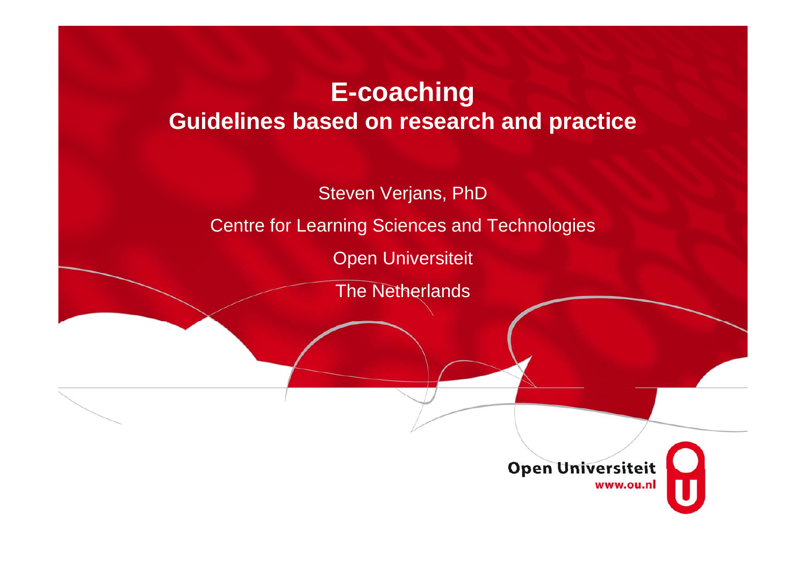# **E-coaching Guidelines based on research and practice**

Steven Verjans, PhD Centre for Learning Sciences and Technologies

Open Universiteit

The Netherlands

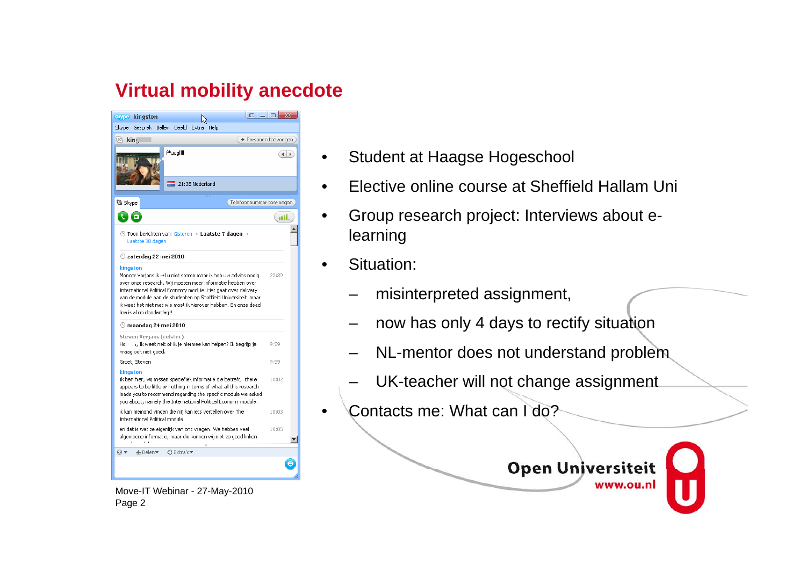### **Virtual mobility anecdote**

| skype kingston                                                                                                                                                                                                                                                                                                                                                                       |                   |                                                            | m                        | ▭<br>х               |  |
|--------------------------------------------------------------------------------------------------------------------------------------------------------------------------------------------------------------------------------------------------------------------------------------------------------------------------------------------------------------------------------------|-------------------|------------------------------------------------------------|--------------------------|----------------------|--|
| Skype Gesprek                                                                                                                                                                                                                                                                                                                                                                        | Bellen Beeld      | Help<br>Extra                                              |                          |                      |  |
| $\times$ king                                                                                                                                                                                                                                                                                                                                                                        |                   |                                                            |                          | + Personen toevoegen |  |
| f*uuglllll<br>$\blacktriangleleft$<br>r                                                                                                                                                                                                                                                                                                                                              |                   |                                                            |                          |                      |  |
|                                                                                                                                                                                                                                                                                                                                                                                      |                   | 21:38 Nederland                                            |                          |                      |  |
| <b>S</b> Skype                                                                                                                                                                                                                                                                                                                                                                       |                   |                                                            | Telefoonnummer toevoegen |                      |  |
| ₹T⊡                                                                                                                                                                                                                                                                                                                                                                                  |                   |                                                            |                          | all.                 |  |
| ⊕ Toon berichten van: Gisteren → Laatste 7 dagen →<br>Laatste 30 dagen                                                                                                                                                                                                                                                                                                               |                   |                                                            |                          |                      |  |
| $\odot$ zaterdag 22 mei 2010                                                                                                                                                                                                                                                                                                                                                         |                   |                                                            |                          |                      |  |
| kingston<br>Meneer Verjans ik wil u niet storen maar ik heb uw advies nodig<br>22:39<br>over onze research. Wii moeten meer informatie hebben over<br>International Political Economy module. Het gaat over delivery<br>van de module aan de studenten op Shaffield Universiteit maar<br>ik weet het niet met wie moet ik hierover hebben. En onze dead<br>line is al op donderdag!! |                   |                                                            |                          |                      |  |
| $\odot$ maandag 24 mei 2010                                                                                                                                                                                                                                                                                                                                                          |                   |                                                            |                          |                      |  |
| Steven Verjans (celstec)<br>Hoi<br>vraag ook niet goed,                                                                                                                                                                                                                                                                                                                              |                   | i, Ik weet neit of ik je hiermee kan helpen? Ik begrijp je |                          | 9:59                 |  |
| Groet, Steven                                                                                                                                                                                                                                                                                                                                                                        |                   |                                                            |                          | 9:59                 |  |
| kingston<br>Ik ben hier, wij missen speciefiek informatie die betreft, there<br>appears to be little or nothing in terms of what all this research<br>leads you to recommend regarding the specific module we asked<br>you about, namely the International Political Economy module.                                                                                                 |                   |                                                            |                          | 10:02                |  |
| ik kan niemand vinden die mij kan iets vertellen over The<br>International Political module                                                                                                                                                                                                                                                                                          |                   |                                                            |                          | 10:03                |  |
| en dat is wat ze eigenlijk van ons vragen. We hebben veel<br>algemeene informatie, maar die kunnen wij niet zo goed linken                                                                                                                                                                                                                                                           |                   |                                                            |                          | 10:05                |  |
| ⊚ –<br>⊕ Delen▼                                                                                                                                                                                                                                                                                                                                                                      | <b>GExtra's ▼</b> |                                                            |                          |                      |  |
|                                                                                                                                                                                                                                                                                                                                                                                      |                   |                                                            |                          |                      |  |

- Student at Haagse Hogeschool
- Elective online course at Sheffield Hallam Uni
- Group research project: Interviews about elearning
- Situation:
	- misinterpreted assignment,
	- now has only 4 days to rectify situation
	- NL-mentor does not understand problem
	- UK-teacher will not change assignment
- Contacts me: What can I do?



Move-IT Webinar - 27-May-2010 Page 2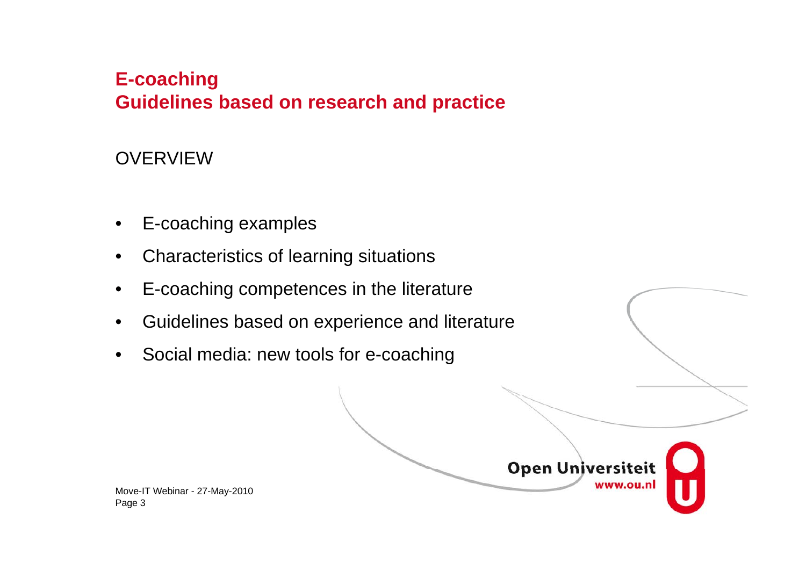# **E-coaching Guidelines based on research and practice**

### **OVERVIEW**

- E-coaching examples
- Characteristics of learning situations
- E-coaching competences in the literature
- Guidelines based on experience and literature
- Social media: new tools for e-coaching

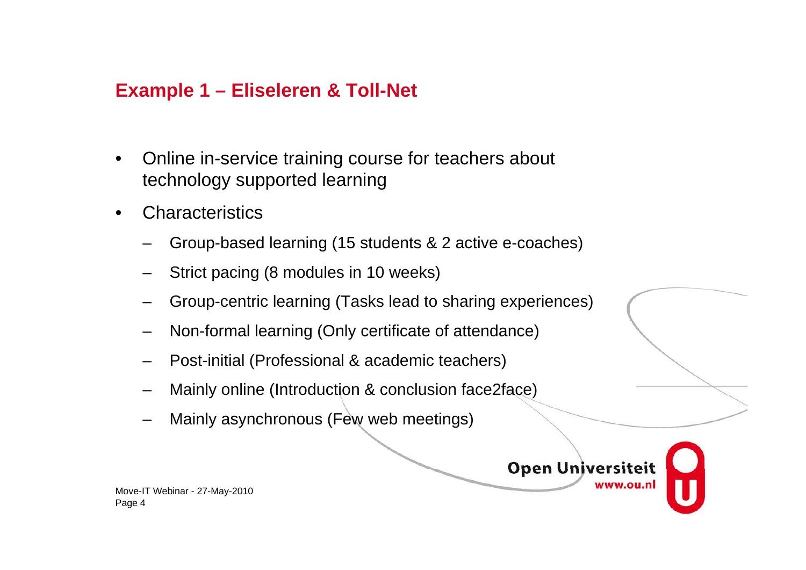### **Example 1 – Eliseleren & Toll-Net**

- Online in-service training course for teachers about technology supported learning
- Characteristics
	- Group-based learning (15 students & 2 active e-coaches)
	- Strict pacing (8 modules in 10 weeks)
	- Group-centric learning (Tasks lead to sharing experiences)
	- Non-formal learning (Only certificate of attendance)
	- Post-initial (Professional & academic teachers)
	- Mainly online (Introduction & conclusion face2face)
	- Mainly asynchronous (Few web meetings)

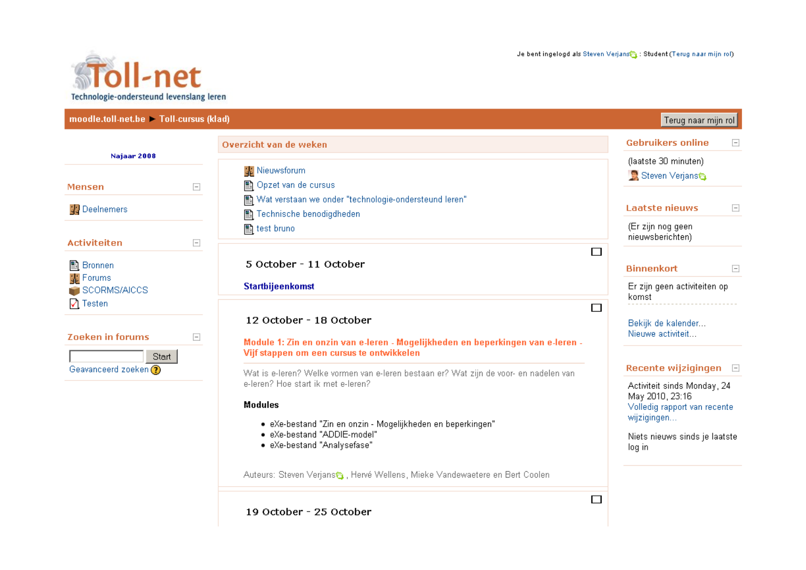

| moodle.toll-net.be Toll-cursus (klad)      |                                                                                                                                                         |                                                                                                           | Terug naar mijn rol                                       |        |
|--------------------------------------------|---------------------------------------------------------------------------------------------------------------------------------------------------------|-----------------------------------------------------------------------------------------------------------|-----------------------------------------------------------|--------|
| Najaar 2008                                | Overzicht van de weken                                                                                                                                  |                                                                                                           | <b>Gebruikers online</b>                                  | $\Box$ |
| $\Box$<br>Mensen                           | <b>SE</b> Nieuwsforum<br>图 Opzet van de cursus                                                                                                          |                                                                                                           | (laatste 30 minuten)<br>Steven Verjans                    |        |
| 图 Deelnemers                               | 图 Wat verstaan we onder "technologie-ondersteund leren"<br>Technische benodigdheden                                                                     |                                                                                                           | <b>Laatste nieuws</b>                                     | $\Box$ |
| <b>Activiteiten</b><br>$\Box$              | 图 test bruno                                                                                                                                            | □                                                                                                         | (Er zijn nog geen<br>nieuwsberichten)                     |        |
| ■ Bronnen<br><b>SE</b> Forums              | 5 October - 11 October                                                                                                                                  |                                                                                                           | <b>Binnenkort</b>                                         | $\Box$ |
| SCORMS/AICCS<br>$\triangledown$ Testen     | <b>Startbijeenkomst</b>                                                                                                                                 | $\Box$                                                                                                    | Er zijn geen activiteiten op<br>komst                     |        |
| <b>Zoeken in forums</b><br>$\Box$<br>Start | 12 October - 18 October<br>Module 1: Zin en onzin van e-leren - Mogelijkheden en beperkingen van e-leren -<br>Vijf stappen om een cursus te ontwikkelen |                                                                                                           | Bekijk de kalender<br>Nieuwe activiteit                   |        |
| Geavanceerd zoeken ?                       | Wat is e-leren? Welke vormen van e-leren bestaan er? Wat zijn de voor- en nadelen van<br>e-leren? Hoe start ik met e-leren?                             |                                                                                                           | Recente wijzigingen $\Box$<br>Activiteit sinds Monday, 24 |        |
|                                            | <b>Modules</b><br>· eXe-bestand "Zin en onzin - Mogelijkheden en beperkingen"<br>· eXe-bestand "ADDIE-model"<br>• eXe-bestand "Analysefase"             | May 2010, 23:16<br>Volledig rapport van recente<br>wijzigingen<br>Niets nieuws sinds je laatste<br>log in |                                                           |        |
|                                            | Auteurs: Steven Verjans 1, Hervé Wellens, Mieke Vandewaetere en Bert Coolen                                                                             | $\Box$                                                                                                    |                                                           |        |

19 October - 25 October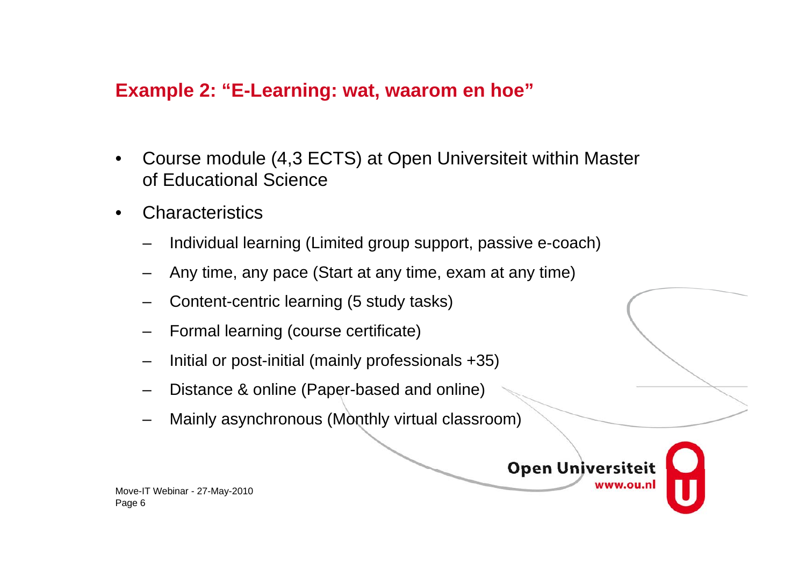#### **Example 2: "E-Learning: wat, waarom en hoe"**

- Course module (4,3 ECTS) at Open Universiteit within Master of Educational Science
- Characteristics
	- Individual learning (Limited group support, passive e-coach)
	- Any time, any pace (Start at any time, exam at any time)
	- Content-centric learning (5 study tasks)
	- Formal learning (course certificate)
	- Initial or post-initial (mainly professionals  $+35$ )
	- Distance & online (Paper-based and online)
	- Mainly asynchronous (Monthly virtual classroom)

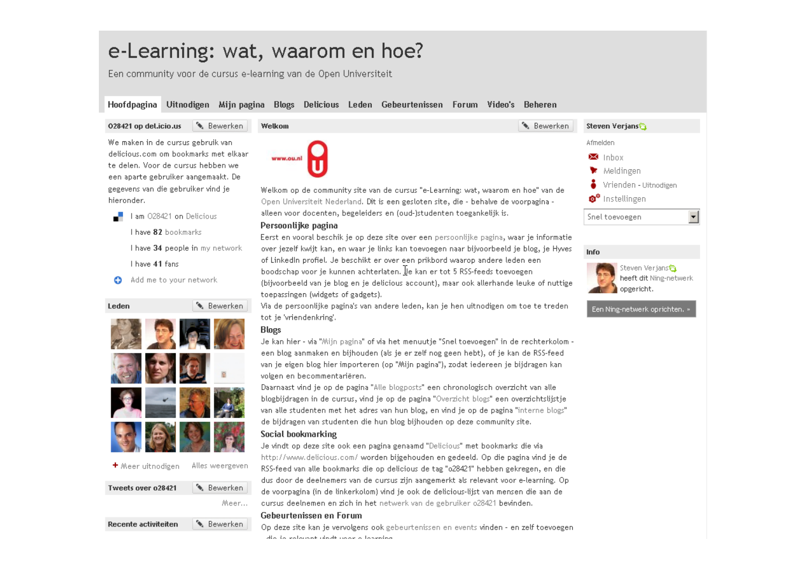# e-Learning: wat, waarom en hoe?

Een community voor de cursus e-learning van de Open Universiteit

#### Hoofdpagina Uitnodigen Mijnpagina Blogs Delicious Leden Gebeurtenissen Forum Video's Beheren

#### 028421 op del.icio.us **&** Bewerken

We maken in de cursus gebruik van delicious.com om bookmarks met elkaa te delen. Voor de cursus hebben we een aparte gebruiker aangemaakt. De gegevens van die gebruiker vind je hieronder.



I have 82 bookmarks

I have 34 people in my network

I have 41 fans

Add me to your network o



**&** Bewerken Tweets over o28421 Meer.



|              | Welkom                                                                                                                                                                                | <b>&amp;</b> Bewerken | Steven Verjans                           |
|--------------|---------------------------------------------------------------------------------------------------------------------------------------------------------------------------------------|-----------------------|------------------------------------------|
|              |                                                                                                                                                                                       |                       | Afmelden                                 |
| ar           | www.ou.n                                                                                                                                                                              |                       | $\mathbf{z}$ Inbox                       |
|              |                                                                                                                                                                                       |                       | $\blacktriangleright$ Meldingen          |
|              |                                                                                                                                                                                       |                       | Vrienden - Uitnodigen                    |
|              | Welkom op de community site van de cursus "e-Learning: wat, waarom en hoe" van de                                                                                                     |                       | $\bullet^{\circ}$ Instellingen           |
|              | Open Universiteit Nederland. Dit is een gesloten site, die - behalve de voorpagina -                                                                                                  |                       |                                          |
|              | alleen voor docenten, begeleiders en (oud-)studenten toegankelijk is.                                                                                                                 | Snel toevoegen        |                                          |
|              | Persoonlijke pagina                                                                                                                                                                   |                       |                                          |
|              | Eerst en vooral beschik je op deze site over een persoonlijke pagina, waar je informatie<br>over jezelf kwijt kan, en waar je links kan toevoegen naar bijvoorbeeld je blog, je Hyves |                       |                                          |
|              | of LinkedIn profiel. Je beschikt er over een prikbord waarop andere leden een                                                                                                         | Info                  |                                          |
|              | boodschap voor je kunnen achterlaten. Je kan er tot 5 RSS-feeds toevoegen                                                                                                             |                       | Steven Verjans<br>heeft dit Ning-netwerk |
|              | (bijvoorbeeld van je blog en je delicious account), maar ook allerhande leuke of nuttige<br>toepassingen (widgets of gadgets).                                                        |                       | opgericht.                               |
|              | Via de persoonlijke pagina's van andere leden, kan je hen uitnodigen om toe te treden                                                                                                 |                       |                                          |
|              | tot je 'vriendenkring'.                                                                                                                                                               |                       | Een Ning-netwerk oprichten. »            |
|              | <b>Blogs</b>                                                                                                                                                                          |                       |                                          |
|              | Je kan hier - via "Mijn pagina" of via het menuutje "Snel toevoegen" in de rechterkolom -                                                                                             |                       |                                          |
|              | een blog aanmaken en bijhouden (als je er zelf nog geen hebt), of je kan de RSS-feed                                                                                                  |                       |                                          |
|              | van je eigen blog hier importeren (op "Mijn pagina"), zodat iedereen je bijdragen kan                                                                                                 |                       |                                          |
|              | volgen en becommentariëren.                                                                                                                                                           |                       |                                          |
|              | Daarnaast vind je op de pagina "Alle blogposts" een chronologisch overzicht van alle                                                                                                  |                       |                                          |
|              | blogbijdragen in de cursus, vind je op de pagina "Overzicht blogs" een overzichtslijstje                                                                                              |                       |                                          |
|              | van alle studenten met het adres van hun blog, en vind je op de pagina "interne blogs"<br>de bijdragen van studenten die hun blog bijhouden op deze community site.                   |                       |                                          |
|              | Social bookmarking                                                                                                                                                                    |                       |                                          |
|              | Je vindt op deze site ook een pagina genaamd "Delicious" met bookmarks die via                                                                                                        |                       |                                          |
|              | http://www.delicious.com/worden-bijgehouden-en-gedeeld. Op die pagina vind je de                                                                                                      |                       |                                          |
| łП,          | RSS-feed van alle bookmarks die op delicious de tag "o28421" hebben gekregen, en die                                                                                                  |                       |                                          |
|              | dus door de deelnemers van de cursus zijn aangemerkt als relevant voor e-learning. Op                                                                                                 |                       |                                          |
| $\mathbf{L}$ | de voorpagina (in de linkerkolom) vind je ook de delicious-lijst van mensen die aan de                                                                                                |                       |                                          |
| ò.           | dursus deelnemen en zich in het netwerk van de gebruiker o28421 bevinden.                                                                                                             |                       |                                          |
|              | Gebeurtenissen en Forum-                                                                                                                                                              |                       |                                          |

Op deze site kan je vervolgens ook gebeurtenissen en events vinden - en zelf toevoegen die in volonnet deelt waar a laarning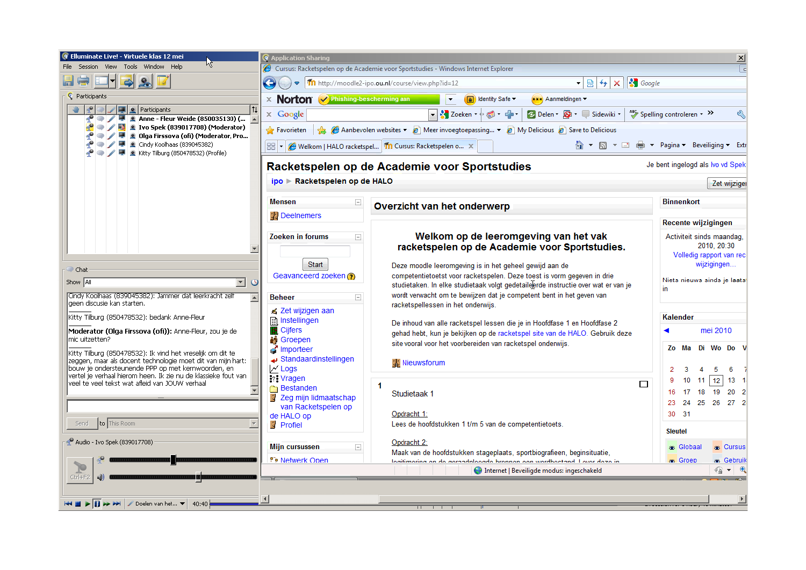| <b>G</b> Elluminate Live! - Virtuele klas 12 mei                                                                                                      | <b>C</b> Application Sharing                                                                                       |                                                                                                                                                           | $\mathbf{x}$                                     |  |  |  |
|-------------------------------------------------------------------------------------------------------------------------------------------------------|--------------------------------------------------------------------------------------------------------------------|-----------------------------------------------------------------------------------------------------------------------------------------------------------|--------------------------------------------------|--|--|--|
| File<br>Tools Window Help<br>Session View                                                                                                             |                                                                                                                    | Cursus: Racketspelen op de Academie voor Sportstudies - Windows Internet Explorer                                                                         | l cl                                             |  |  |  |
| H C                                                                                                                                                   | <b>S</b> Google<br>http://moodle2-ipo.ou.nl/course/view.php?id=12<br>$-84$<br>$\pmb{\times}$<br>$\triangledown$    |                                                                                                                                                           |                                                  |  |  |  |
| <b>C</b> Participants                                                                                                                                 | X Norton Mehishing-bescherming aan<br>Identity Safe -<br>*** Aanmeldingen ▼                                        |                                                                                                                                                           |                                                  |  |  |  |
| ₽<br><b>Participants</b><br>$\bigcirc$ $\bigcirc$ $\bigcirc$ $\bigcirc$ $\bigcirc$ Anne - Fleur Weide (850035130) (                                   | $\times$ Google                                                                                                    | → <mark>X</mark> Zoeken →<br>db<br>C Delen v Str Sidewiki v<br>$\blacksquare$                                                                             | Spelling controleren + >><br>ℭ                   |  |  |  |
| <b>O</b> / <b>D</b> 2 Ivo Spek (839017708) (Moderator)                                                                                                | Aanbevolen websites ▼ @ Meer invoegtoepassing ▼ @ My Delicious @ Save to Delicious<br>$\leftrightarrow$ Favorieten |                                                                                                                                                           |                                                  |  |  |  |
| <b>O</b> / <b>D Q</b> Olga Firssova (ofi) (Moderator, Pro<br>● / ■ <u>●</u> Cindy Koolhaas (839045382)<br>← → → E kitty Tilburg (850478532) (Profile) |                                                                                                                    | 88 . (@ Welkom   HALO racketspel   11 Cursus: Racketspelen o X                                                                                            |                                                  |  |  |  |
|                                                                                                                                                       |                                                                                                                    | Racketspelen op de Academie voor Sportstudies                                                                                                             | Je bent ingelogd als Ivo vd Spek                 |  |  |  |
|                                                                                                                                                       | ipo > Racketspelen op de HALO                                                                                      |                                                                                                                                                           | Zet wijziger                                     |  |  |  |
|                                                                                                                                                       | <b>Mensen</b><br>E.                                                                                                | Overzicht van het onderwerp                                                                                                                               | <b>Binnenkort</b>                                |  |  |  |
|                                                                                                                                                       | 製 Deelnemers                                                                                                       |                                                                                                                                                           |                                                  |  |  |  |
|                                                                                                                                                       | <b>Zoeken in forums</b><br>$\Box$                                                                                  | Welkom op de leeromgeving van het vak                                                                                                                     | Recente wijzigingen<br>Activiteit sinds maandag, |  |  |  |
| $\overline{\phantom{a}}$                                                                                                                              |                                                                                                                    | racketspelen op de Academie voor Sportstudies.                                                                                                            | 2010, 20:30                                      |  |  |  |
|                                                                                                                                                       | Start                                                                                                              | Deze moodle leeromgeving is in het geheel gewijd aan de                                                                                                   | Volledig rapport van rec<br>wijzigingen          |  |  |  |
| $\blacksquare$ Chat                                                                                                                                   | Geavanceerd zoeken (?)                                                                                             | competentietoetst voor racketspelen. Deze toest is vorm gegeven in drie                                                                                   | Niets nieuws sinds je laats                      |  |  |  |
| Show All<br>$\overline{\phantom{0}}$<br>$\circ$<br>Cindy Koolhaas (839045382): Jammer dat leerkracht zelf                                             |                                                                                                                    | studietaken. In elke studietaak volgt gedetaileerde instructie over wat er van je<br>wordt verwacht om te bewijzen dat je competent bent in het geven van | in                                               |  |  |  |
| laeen discusie kan starten.                                                                                                                           | <b>Beheer</b><br>E.<br>i Zet wijzigen aan                                                                          | racketspellessen in het onderwijs.                                                                                                                        |                                                  |  |  |  |
| Kitty Tilburg (850478532): bedank Anne-Fleur                                                                                                          | 图 Instellingen                                                                                                     | De inhoud van alle racketspel lessen die je in Hoofdfase 1 en Hoofdfase 2                                                                                 | Kalender                                         |  |  |  |
| Moderator (Olga Firssova (ofi)): Anne-Fleur, zou je de<br>mic uitzetten?                                                                              | <b>里 Cijfers</b><br>4∲ Groepen                                                                                     | gehad hebt, kun je bekijken op de racketspel site van de HALO. Gebruik deze                                                                               | mei 2010                                         |  |  |  |
| Kitty Tilburg (850478532): Ik vind het vreselijk om dit te                                                                                            | Importeer                                                                                                          | site vooral voor het voorbereiden van racketspel onderwijs.                                                                                               | Di Wo Do<br>Zo<br>Ma                             |  |  |  |
| zeggen, maar als docent technologie moet dit van mijn hart:<br>bouw je ondersteunende PPP op met kernwoorden, en                                      | ⊾ Standaardinstellingen<br>$\sqrt{2}$ Logs                                                                         | <b>W</b> Nieuwsforum                                                                                                                                      | 2<br>5<br>в                                      |  |  |  |
| vertel je verhaal hierom heen. Ik zie nu de klassieke fout van<br>veel te veel tekst wat afleid van JOUW verhaal                                      | <b>P:</b> Vragen                                                                                                   | $\Box$                                                                                                                                                    | 9<br>10 <sup>10</sup><br>12<br>11<br>13          |  |  |  |
|                                                                                                                                                       | <b>Bestanden</b><br>Zeg mijn lidmaatschap                                                                          | Studietaak 1                                                                                                                                              | 19<br>16.<br>17<br>18<br>20                      |  |  |  |
|                                                                                                                                                       | van Racketspelen op                                                                                                | Opdracht 1:                                                                                                                                               | 24 25 26<br>27 2<br>23<br>30 31                  |  |  |  |
| to This Room<br>Send                                                                                                                                  | de HALO op<br>$\mathbb{F}$ Profiel                                                                                 | Lees de hoofdstukken 1 t/m 5 van de competentietoets.                                                                                                     | <b>Sleutel</b>                                   |  |  |  |
| Audio - Ivo Spek (839017708)                                                                                                                          | Mijn cursussen                                                                                                     | Opdracht 2:                                                                                                                                               | s Globaal<br>& Cursus                            |  |  |  |
|                                                                                                                                                       | $\Box$<br><sup>9</sup> <sup>9</sup> Netwerk Open                                                                   | Maak van de hoofdstukken stageplaats, sportbiografieen, beginsituatie,<br>logitimoring on do gorandaloogde bronnen oon wordboetand. Lower daze in         | & Groep<br><b>as Gebruik</b>                     |  |  |  |
| Ctrl+F2                                                                                                                                               |                                                                                                                    | <b>ED</b> Internet   Beveiligde modus: ingeschakeld                                                                                                       | ۊ<br>$\overline{\phantom{a}}$                    |  |  |  |
|                                                                                                                                                       |                                                                                                                    |                                                                                                                                                           |                                                  |  |  |  |
| <b>IT AN ANT</b><br>Doelen van het<br>40:40                                                                                                           |                                                                                                                    |                                                                                                                                                           | 브                                                |  |  |  |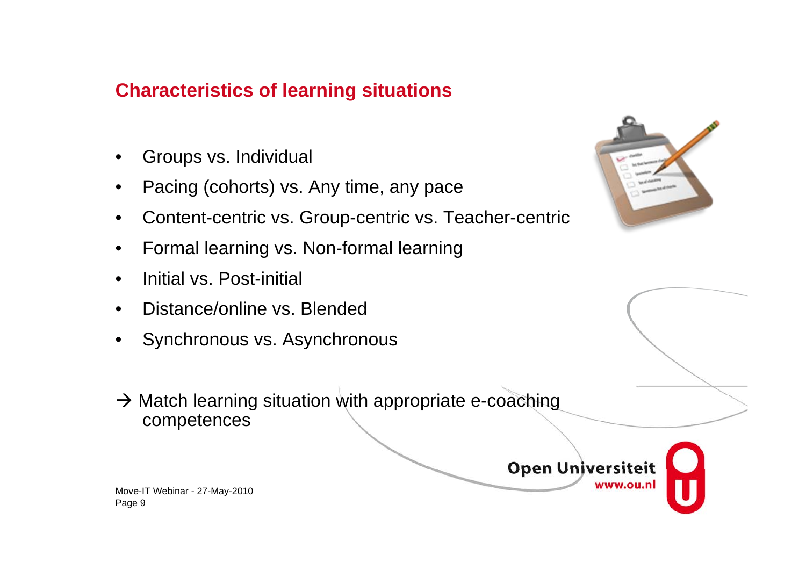## **Characteristics of learning situations**

- Groups vs. Individual
- Pacing (cohorts) vs. Any time, any pace
- Content-centric vs. Group-centric vs. Teacher-centric
- Formal learning vs. Non-formal learning
- Initial vs. Post-initial
- Distance/online vs. Blended
- Synchronous vs. Asynchronous
- $\rightarrow$  Match learning situation with appropriate e-coaching competences



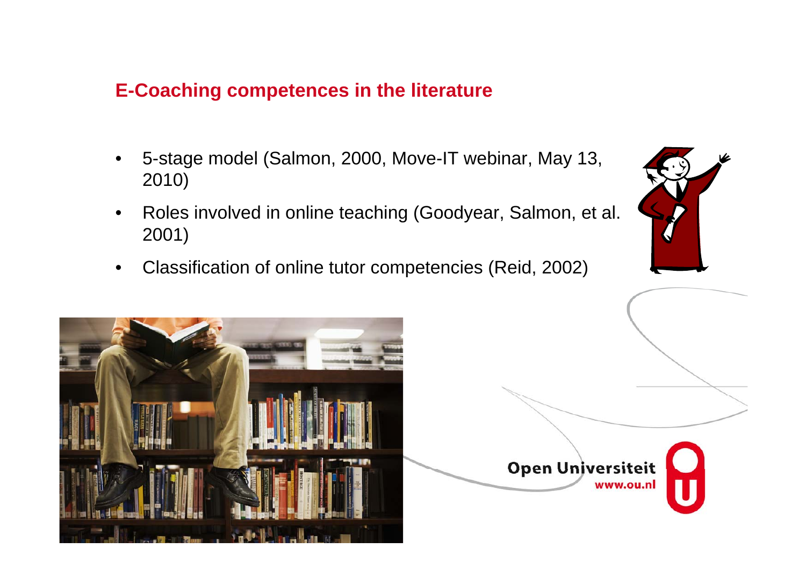### **E-Coaching competences in the literature**

- 5-stage model (Salmon, 2000, Move-IT webinar, May 13, 2010)
- Roles involved in online teaching (Goodyear, Salmon, et al. 2001)
- Classification of online tutor competencies (Reid, 2002)



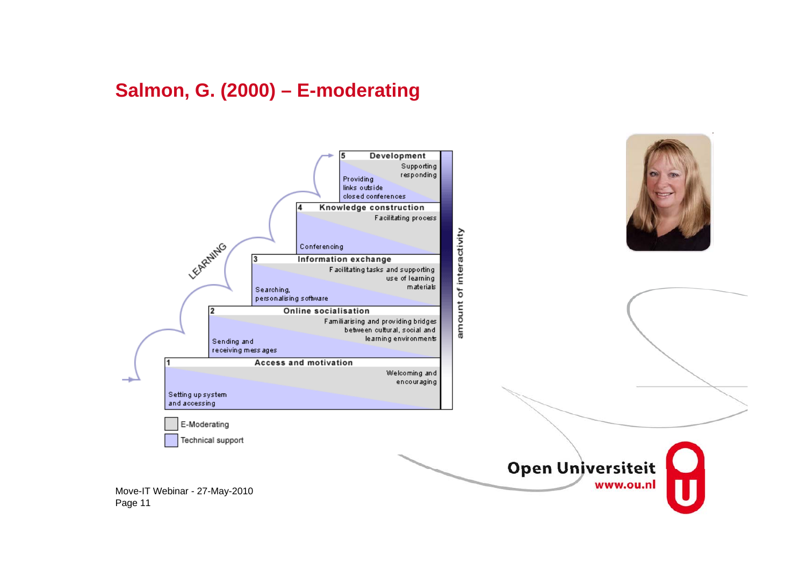### **Salmon, G. (2000) – E-moderating**



![](_page_11_Picture_2.jpeg)

![](_page_11_Picture_3.jpeg)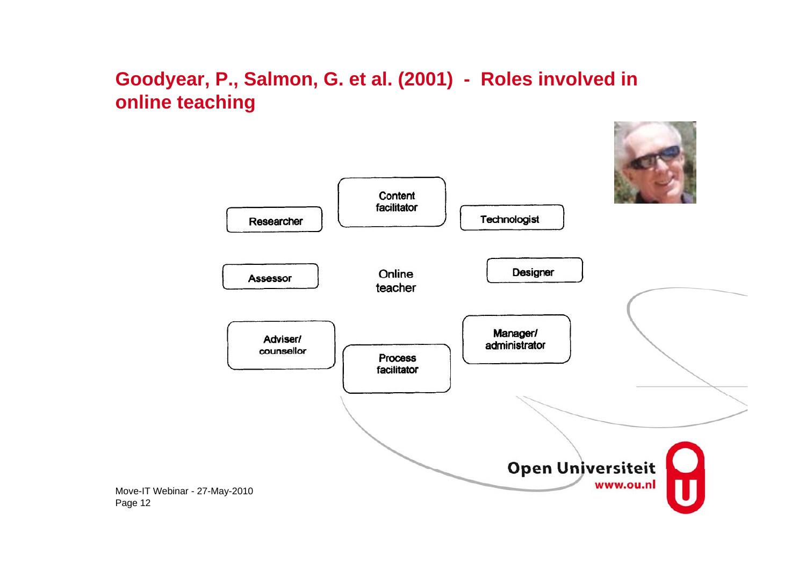### **Goodyear, P., Salmon, G. et al. (2001) - Roles involved in online teaching**

Page 12

![](_page_12_Figure_1.jpeg)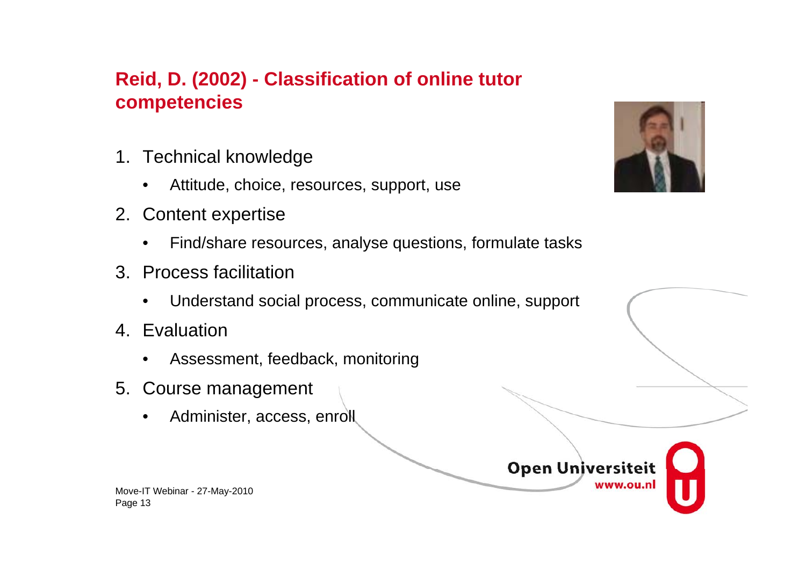# **Reid, D. (2002) - Classification of online tutor competencies**

- 1. Technical knowledge
	- Attitude, choice, resources, support, use
- 2. Content expertise
	- Find/share resources, analyse questions, formulate tasks
- 3. Process facilitation
	- Understand social process, communicate online, support
- 4. Evaluation
	- Assessment, feedback, monitoring
- 5. Course management
	- Administer, access, enroll

![](_page_13_Picture_11.jpeg)

![](_page_13_Picture_12.jpeg)

![](_page_13_Picture_13.jpeg)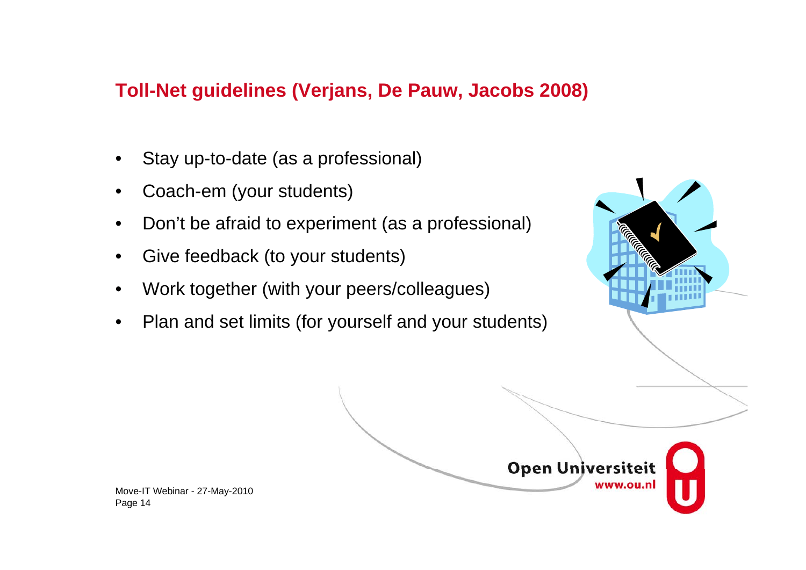### **Toll-Net guidelines (Verjans, De Pauw, Jacobs 2008)**

- Stay up-to-date (as a professional)
- Coach-em (your students)
- Don't be afraid to experiment (as a professional)
- Give feedback (to your students)
- Work together (with your peers/colleagues)
- Plan and set limits (for yourself and your students)

![](_page_14_Picture_7.jpeg)

![](_page_14_Picture_8.jpeg)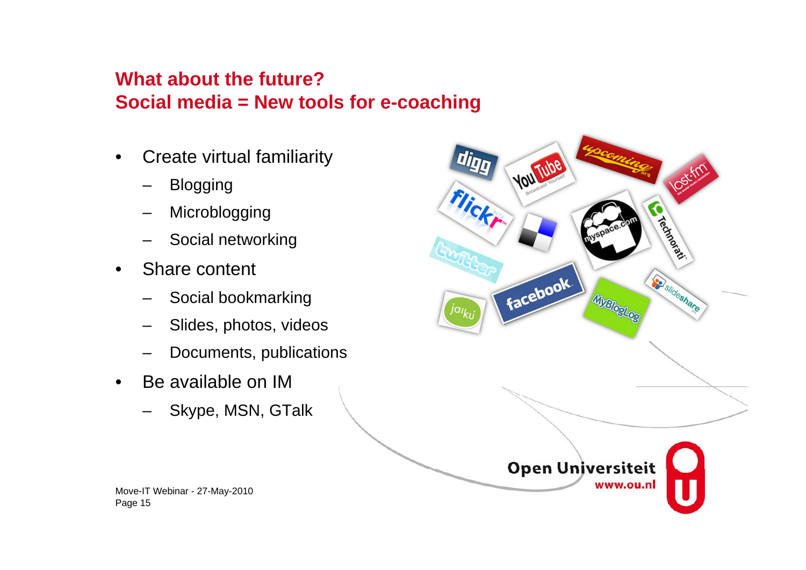# **What about the future? Social media = New tools for e-coaching**

- Create virtual familiarity
	- Blogging
	- **Microblogging**
	- Social networking
- Share content
	- Social bookmarking
	- Slides, photos, videos
	- Documents, publications
- Be available on IM
	- Skype, MSN, GTalk

![](_page_15_Picture_11.jpeg)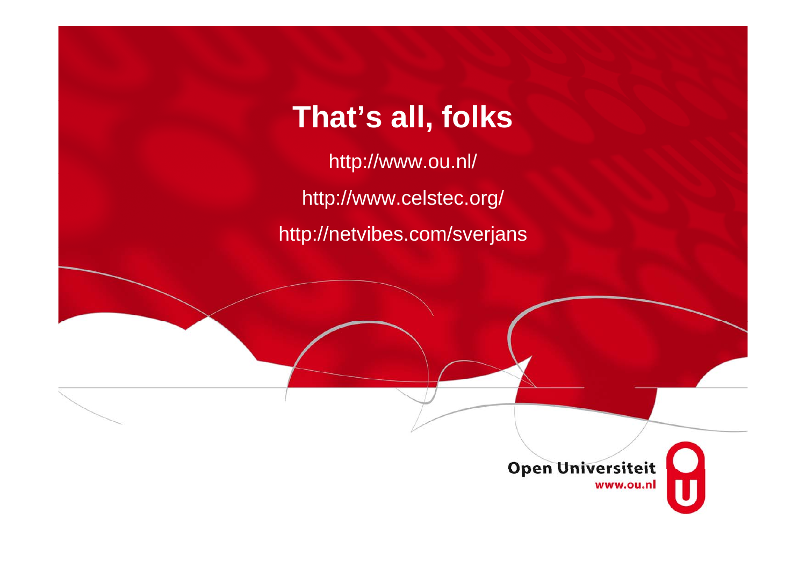# **That's all, folks**

http://www.ou.nl/ http://www.celstec.org/ http://netvibes.com/sverjans

![](_page_16_Picture_2.jpeg)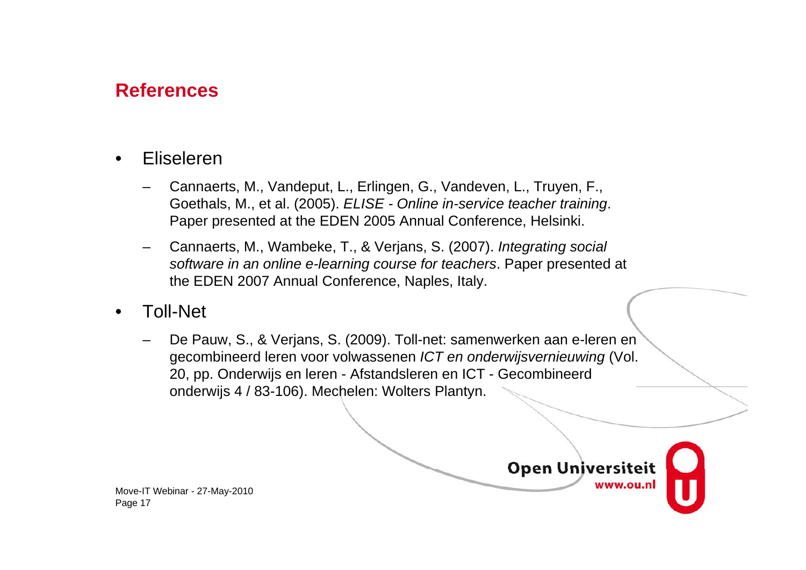### **References**

- Eliseleren
	- Cannaerts, M., Vandeput, L., Erlingen, G., Vandeven, L., Truyen, F., Goethals, M., et al. (2005). *ELISE - Online in-service teacher training*. Paper presented at the EDEN 2005 Annual Conference, Helsinki.
	- Cannaerts, M., Wambeke, T., & Verjans, S. (2007). *Integrating social software in an online e-learning course for teachers*. Paper presented at the EDEN 2007 Annual Conference, Naples, Italy.
- Toll-Net
	- De Pauw, S., & Verjans, S. (2009). Toll-net: samenwerken aan e-leren en gecombineerd leren voor volwassenen *ICT en onderwijsvernieuwing* (Vol. 20, pp. Onderwijs en leren - Afstandsleren en ICT - Gecombineerd onderwijs 4 / 83-106). Mechelen: Wolters Plantyn.

![](_page_17_Picture_6.jpeg)